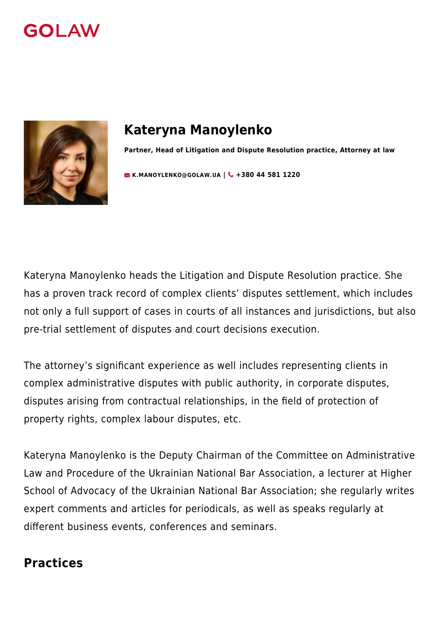



# **Kateryna Manoylenko**

**Partner, Head of Litigation and Dispute Resolution practice, Attorney at law**

**[K.MANOYLENKO@GOLAW.UA](mailto:info@golaw.ua) | & +380 44 581 1220** 

Kateryna Manoylenko heads the Litigation and Dispute Resolution practice. She has a proven track record of complex clients' disputes settlement, which includes not only a full support of cases in courts of all instances and jurisdictions, but also pre-trial settlement of disputes and court decisions execution.

The attorney's significant experience as well includes representing clients in complex administrative disputes with public authority, in corporate disputes, disputes arising from contractual relationships, in the field of protection of property rights, complex labour disputes, etc.

Kateryna Manoylenko is the Deputy Chairman of the Committee on Administrative Law and Procedure of the Ukrainian National Bar Association, a lecturer at Higher School of Advocacy of the Ukrainian National Bar Association; she regularly writes expert comments and articles for periodicals, as well as speaks regularly at different business events, conferences and seminars.

#### **Practices**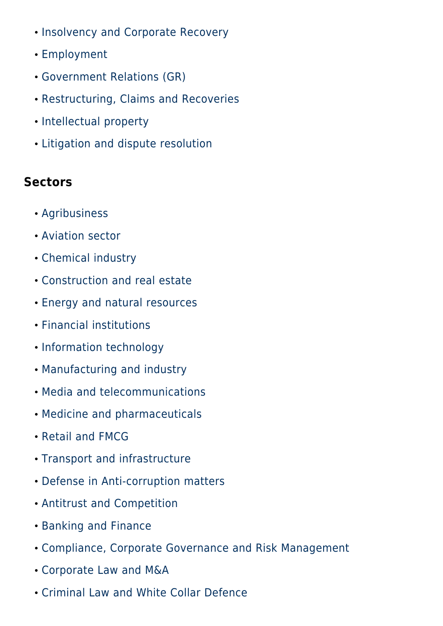- [Insolvency and Corporate Recovery](#page--1-0)
- [Employment](#page--1-0)
- [Government Relations \(GR\)](#page--1-0)
- [Restructuring, Claims and Recoveries](#page--1-0)
- [Intellectual property](#page--1-0)
- [Litigation and dispute resolution](#page--1-0)

## **Sectors**

- [Agribusiness](#page--1-0)
- [Aviation sector](#page--1-0)
- [Chemical industry](#page--1-0)
- [Construction and real estate](#page--1-0)
- [Energy and natural resources](#page--1-0)
- [Financial institutions](#page--1-0)
- [Information technology](#page--1-0)
- [Manufacturing and industry](#page--1-0)
- [Media and telecommunications](#page--1-0)
- [Medicine and pharmaceuticals](#page--1-0)
- [Retail and FMCG](#page--1-0)
- [Transport and infrastructure](#page--1-0)
- [Defense in Anti-corruption matters](#page--1-0)
- [Antitrust and Competition](#page--1-0)
- [Banking and Finance](#page--1-0)
- [Compliance, Corporate Governance and Risk Management](#page--1-0)
- [Corporate Law and M&A](#page--1-0)
- [Criminal Law and White Collar Defence](#page--1-0)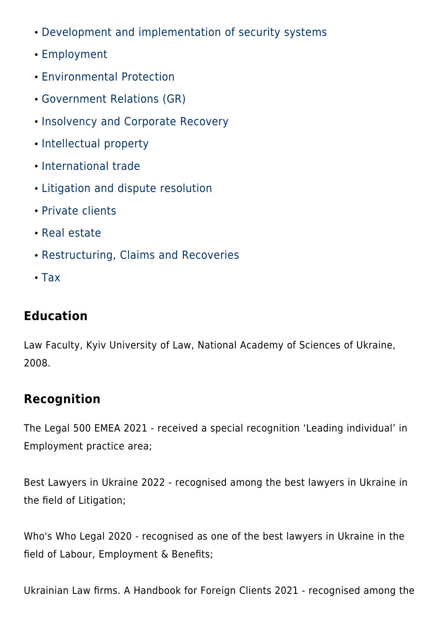- [Development and implementation of security systems](#page--1-0)
- [Employment](#page--1-0)
- [Environmental Protection](#page--1-0)
- [Government Relations \(GR\)](#page--1-0)
- [Insolvency and Corporate Recovery](#page--1-0)
- [Intellectual property](#page--1-0)
- [International trade](#page--1-0)
- [Litigation and dispute resolution](#page--1-0)
- [Private clients](#page--1-0)
- [Real estate](#page--1-0)
- [Restructuring, Claims and Recoveries](#page--1-0)
- $\cdot$  [Tax](#page--1-0)

## **Education**

Law Faculty, Kyiv University of Law, National Academy of Sciences of Ukraine, 2008.

# **Recognition**

The Legal 500 EMEA 2021 - received a special recognition 'Leading individual' in Employment practice area;

Best Lawyers in Ukraine 2022 - recognised among the best lawyers in Ukraine in the field of Litigation;

Who's Who Legal 2020 - recognised as one of the best lawyers in Ukraine in the field of Labour, Employment & Benefits;

Ukrainian Law firms. A Handbook for Foreign Clients 2021 - recognised among the